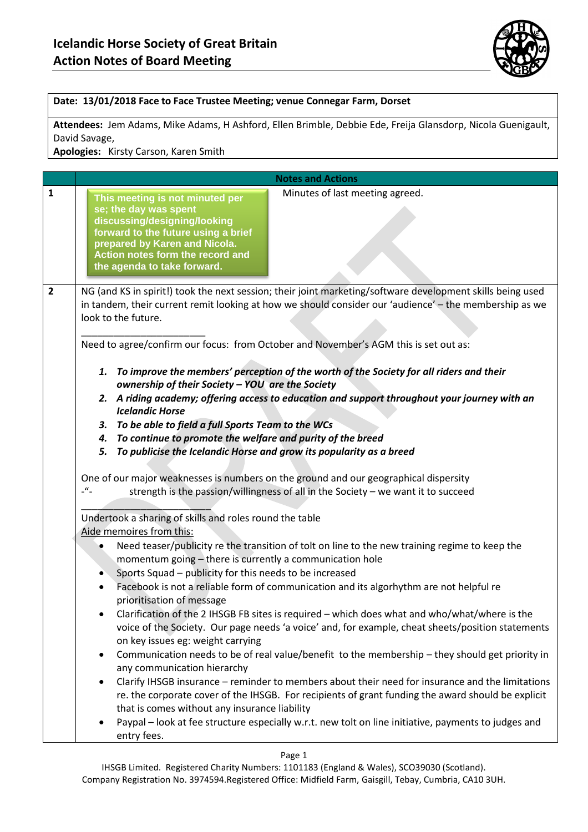

## **Date: 13/01/2018 Face to Face Trustee Meeting; venue Connegar Farm, Dorset**

**Attendees:** Jem Adams, Mike Adams, H Ashford, Ellen Brimble, Debbie Ede, Freija Glansdorp, Nicola Guenigault, David Savage,

**Apologies:** Kirsty Carson, Karen Smith

|                | <b>Notes and Actions</b>                                                                                                                                                                                                                                                                                                                                                                                                                                                                                                                                                                                                                                                                                                                                                                                                                                                                                                                                                                                                                                                                                                                                                                                                                                                                                                                                                                                                                                                        |
|----------------|---------------------------------------------------------------------------------------------------------------------------------------------------------------------------------------------------------------------------------------------------------------------------------------------------------------------------------------------------------------------------------------------------------------------------------------------------------------------------------------------------------------------------------------------------------------------------------------------------------------------------------------------------------------------------------------------------------------------------------------------------------------------------------------------------------------------------------------------------------------------------------------------------------------------------------------------------------------------------------------------------------------------------------------------------------------------------------------------------------------------------------------------------------------------------------------------------------------------------------------------------------------------------------------------------------------------------------------------------------------------------------------------------------------------------------------------------------------------------------|
| $\mathbf{1}$   | Minutes of last meeting agreed.<br>This meeting is not minuted per<br>se; the day was spent<br>discussing/designing/looking<br>forward to the future using a brief<br>prepared by Karen and Nicola.<br>Action notes form the record and<br>the agenda to take forward.                                                                                                                                                                                                                                                                                                                                                                                                                                                                                                                                                                                                                                                                                                                                                                                                                                                                                                                                                                                                                                                                                                                                                                                                          |
| $\overline{2}$ | NG (and KS in spirit!) took the next session; their joint marketing/software development skills being used<br>in tandem, their current remit looking at how we should consider our 'audience' - the membership as we<br>look to the future.<br>Need to agree/confirm our focus: from October and November's AGM this is set out as:                                                                                                                                                                                                                                                                                                                                                                                                                                                                                                                                                                                                                                                                                                                                                                                                                                                                                                                                                                                                                                                                                                                                             |
|                | 1. To improve the members' perception of the worth of the Society for all riders and their<br>ownership of their Society - YOU are the Society<br>2. A riding academy; offering access to education and support throughout your journey with an<br><b>Icelandic Horse</b><br>3. To be able to field a full Sports Team to the WCs<br>4. To continue to promote the welfare and purity of the breed<br>To publicise the Icelandic Horse and grow its popularity as a breed<br>5.<br>One of our major weaknesses is numbers on the ground and our geographical dispersity<br>$\mathcal{L}$<br>strength is the passion/willingness of all in the Society - we want it to succeed<br>Undertook a sharing of skills and roles round the table<br>Aide memoires from this:<br>Need teaser/publicity re the transition of tolt on line to the new training regime to keep the<br>momentum going - there is currently a communication hole<br>Sports Squad - publicity for this needs to be increased<br>Facebook is not a reliable form of communication and its algorhythm are not helpful re<br>prioritisation of message<br>Clarification of the 2 IHSGB FB sites is required - which does what and who/what/where is the<br>voice of the Society. Our page needs 'a voice' and, for example, cheat sheets/position statements<br>on key issues eg: weight carrying<br>Communication needs to be of real value/benefit to the membership - they should get priority in<br>$\bullet$ |
|                | any communication hierarchy<br>Clarify IHSGB insurance - reminder to members about their need for insurance and the limitations<br>re. the corporate cover of the IHSGB. For recipients of grant funding the award should be explicit<br>that is comes without any insurance liability<br>Paypal - look at fee structure especially w.r.t. new tolt on line initiative, payments to judges and<br>entry fees.                                                                                                                                                                                                                                                                                                                                                                                                                                                                                                                                                                                                                                                                                                                                                                                                                                                                                                                                                                                                                                                                   |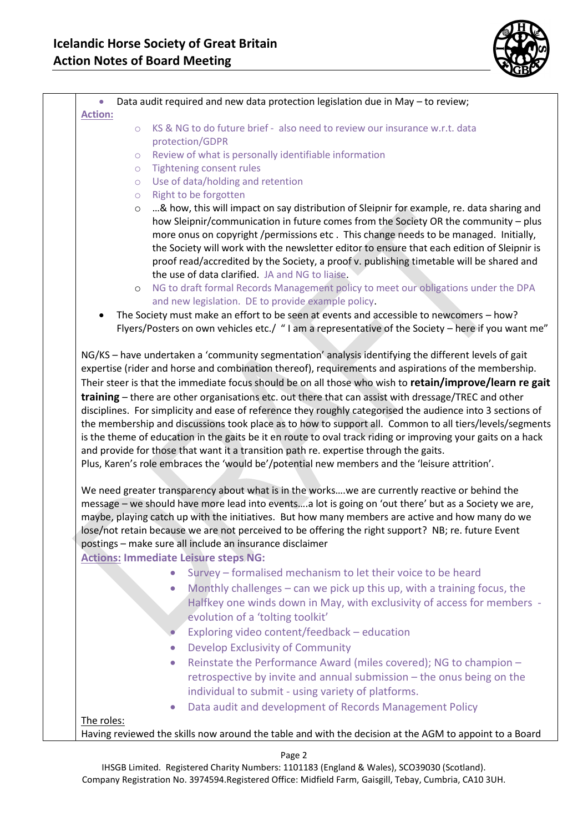

| Data audit required and new data protection legislation due in May - to review;<br>$\bullet$                                                                                                                                                                                                                                                                                                                                                                                                                                                                                                                                                                                                                                                                                                                                                                                                                                                                 |  |
|--------------------------------------------------------------------------------------------------------------------------------------------------------------------------------------------------------------------------------------------------------------------------------------------------------------------------------------------------------------------------------------------------------------------------------------------------------------------------------------------------------------------------------------------------------------------------------------------------------------------------------------------------------------------------------------------------------------------------------------------------------------------------------------------------------------------------------------------------------------------------------------------------------------------------------------------------------------|--|
| <b>Action:</b>                                                                                                                                                                                                                                                                                                                                                                                                                                                                                                                                                                                                                                                                                                                                                                                                                                                                                                                                               |  |
| KS & NG to do future brief - also need to review our insurance w.r.t. data<br>$\circ$                                                                                                                                                                                                                                                                                                                                                                                                                                                                                                                                                                                                                                                                                                                                                                                                                                                                        |  |
| protection/GDPR                                                                                                                                                                                                                                                                                                                                                                                                                                                                                                                                                                                                                                                                                                                                                                                                                                                                                                                                              |  |
| Review of what is personally identifiable information<br>$\circlearrowright$                                                                                                                                                                                                                                                                                                                                                                                                                                                                                                                                                                                                                                                                                                                                                                                                                                                                                 |  |
| <b>Tightening consent rules</b><br>$\circlearrowright$                                                                                                                                                                                                                                                                                                                                                                                                                                                                                                                                                                                                                                                                                                                                                                                                                                                                                                       |  |
| Use of data/holding and retention<br>$\circlearrowright$                                                                                                                                                                                                                                                                                                                                                                                                                                                                                                                                                                                                                                                                                                                                                                                                                                                                                                     |  |
| Right to be forgotten<br>$\circ$                                                                                                                                                                                                                                                                                                                                                                                                                                                                                                                                                                                                                                                                                                                                                                                                                                                                                                                             |  |
| & how, this will impact on say distribution of Sleipnir for example, re. data sharing and<br>$\circ$<br>how Sleipnir/communication in future comes from the Society OR the community - plus<br>more onus on copyright /permissions etc. This change needs to be managed. Initially,<br>the Society will work with the newsletter editor to ensure that each edition of Sleipnir is<br>proof read/accredited by the Society, a proof v. publishing timetable will be shared and<br>the use of data clarified. JA and NG to liaise.                                                                                                                                                                                                                                                                                                                                                                                                                            |  |
| NG to draft formal Records Management policy to meet our obligations under the DPA<br>$\circ$                                                                                                                                                                                                                                                                                                                                                                                                                                                                                                                                                                                                                                                                                                                                                                                                                                                                |  |
| and new legislation. DE to provide example policy.                                                                                                                                                                                                                                                                                                                                                                                                                                                                                                                                                                                                                                                                                                                                                                                                                                                                                                           |  |
| The Society must make an effort to be seen at events and accessible to newcomers - how?<br>Flyers/Posters on own vehicles etc./ "I am a representative of the Society - here if you want me"                                                                                                                                                                                                                                                                                                                                                                                                                                                                                                                                                                                                                                                                                                                                                                 |  |
| Their steer is that the immediate focus should be on all those who wish to retain/improve/learn re gait<br>training - there are other organisations etc. out there that can assist with dressage/TREC and other<br>disciplines. For simplicity and ease of reference they roughly categorised the audience into 3 sections of<br>the membership and discussions took place as to how to support all. Common to all tiers/levels/segments<br>is the theme of education in the gaits be it en route to oval track riding or improving your gaits on a hack<br>and provide for those that want it a transition path re. expertise through the gaits.<br>Plus, Karen's role embraces the 'would be'/potential new members and the 'leisure attrition'.<br>We need greater transparency about what is in the workswe are currently reactive or behind the<br>message - we should have more lead into eventsa lot is going on 'out there' but as a Society we are, |  |
| maybe, playing catch up with the initiatives. But how many members are active and how many do we<br>lose/not retain because we are not perceived to be offering the right support? NB; re. future Event<br>postings - make sure all include an insurance disclaimer                                                                                                                                                                                                                                                                                                                                                                                                                                                                                                                                                                                                                                                                                          |  |
| <b>Actions: Immediate Leisure steps NG:</b>                                                                                                                                                                                                                                                                                                                                                                                                                                                                                                                                                                                                                                                                                                                                                                                                                                                                                                                  |  |
| Survey - formalised mechanism to let their voice to be heard<br>$\bullet$                                                                                                                                                                                                                                                                                                                                                                                                                                                                                                                                                                                                                                                                                                                                                                                                                                                                                    |  |
| Monthly challenges $-$ can we pick up this up, with a training focus, the<br>$\bullet$<br>Halfkey one winds down in May, with exclusivity of access for members -                                                                                                                                                                                                                                                                                                                                                                                                                                                                                                                                                                                                                                                                                                                                                                                            |  |
| evolution of a 'tolting toolkit'                                                                                                                                                                                                                                                                                                                                                                                                                                                                                                                                                                                                                                                                                                                                                                                                                                                                                                                             |  |
| Exploring video content/feedback - education                                                                                                                                                                                                                                                                                                                                                                                                                                                                                                                                                                                                                                                                                                                                                                                                                                                                                                                 |  |
| Develop Exclusivity of Community<br>$\bullet$                                                                                                                                                                                                                                                                                                                                                                                                                                                                                                                                                                                                                                                                                                                                                                                                                                                                                                                |  |
| Reinstate the Performance Award (miles covered); NG to champion -<br>$\bullet$                                                                                                                                                                                                                                                                                                                                                                                                                                                                                                                                                                                                                                                                                                                                                                                                                                                                               |  |
| retrospective by invite and annual submission - the onus being on the<br>individual to submit - using variety of platforms.                                                                                                                                                                                                                                                                                                                                                                                                                                                                                                                                                                                                                                                                                                                                                                                                                                  |  |
| Data audit and development of Records Management Policy<br>$\bullet$                                                                                                                                                                                                                                                                                                                                                                                                                                                                                                                                                                                                                                                                                                                                                                                                                                                                                         |  |
| The roles:                                                                                                                                                                                                                                                                                                                                                                                                                                                                                                                                                                                                                                                                                                                                                                                                                                                                                                                                                   |  |
| Having reviewed the skills now around the table and with the decision at the AGM to appoint to a Board                                                                                                                                                                                                                                                                                                                                                                                                                                                                                                                                                                                                                                                                                                                                                                                                                                                       |  |
|                                                                                                                                                                                                                                                                                                                                                                                                                                                                                                                                                                                                                                                                                                                                                                                                                                                                                                                                                              |  |

Page 2

IHSGB Limited. Registered Charity Numbers: 1101183 (England & Wales), SCO39030 (Scotland). Company Registration No. 3974594.Registered Office: Midfield Farm, Gaisgill, Tebay, Cumbria, CA10 3UH.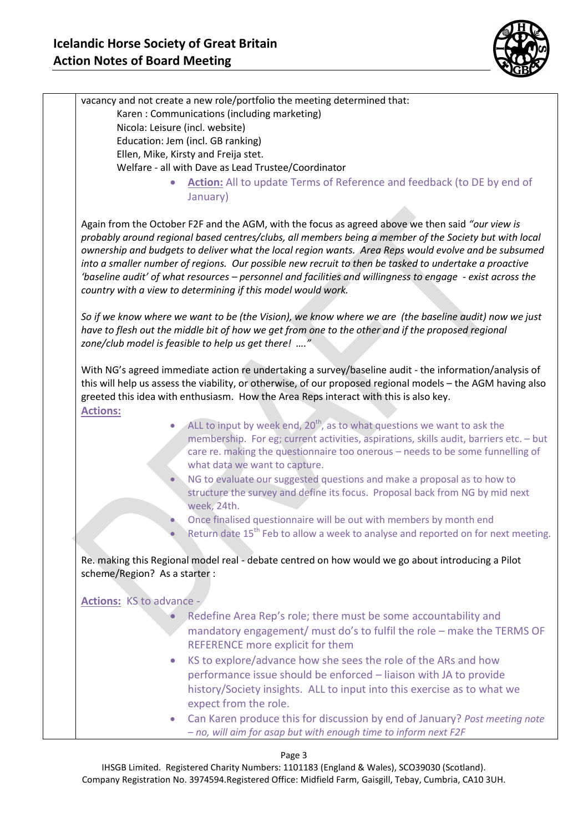

|                                                  | vacancy and not create a new role/portfolio the meeting determined that:                                                                                                                                                                                                                                                                                                                                                                                                                                                                                                                                  |
|--------------------------------------------------|-----------------------------------------------------------------------------------------------------------------------------------------------------------------------------------------------------------------------------------------------------------------------------------------------------------------------------------------------------------------------------------------------------------------------------------------------------------------------------------------------------------------------------------------------------------------------------------------------------------|
|                                                  | Karen: Communications (including marketing)                                                                                                                                                                                                                                                                                                                                                                                                                                                                                                                                                               |
|                                                  | Nicola: Leisure (incl. website)                                                                                                                                                                                                                                                                                                                                                                                                                                                                                                                                                                           |
|                                                  | Education: Jem (incl. GB ranking)<br>Ellen, Mike, Kirsty and Freija stet.                                                                                                                                                                                                                                                                                                                                                                                                                                                                                                                                 |
|                                                  | Welfare - all with Dave as Lead Trustee/Coordinator                                                                                                                                                                                                                                                                                                                                                                                                                                                                                                                                                       |
|                                                  | Action: All to update Terms of Reference and feedback (to DE by end of<br>$\bullet$                                                                                                                                                                                                                                                                                                                                                                                                                                                                                                                       |
|                                                  | January)                                                                                                                                                                                                                                                                                                                                                                                                                                                                                                                                                                                                  |
|                                                  |                                                                                                                                                                                                                                                                                                                                                                                                                                                                                                                                                                                                           |
|                                                  | Again from the October F2F and the AGM, with the focus as agreed above we then said "our view is<br>probably around regional based centres/clubs, all members being a member of the Society but with local<br>ownership and budgets to deliver what the local region wants. Area Reps would evolve and be subsumed<br>into a smaller number of regions. Our possible new recruit to then be tasked to undertake a proactive<br>'baseline audit' of what resources - personnel and facilities and willingness to engage - exist across the<br>country with a view to determining if this model would work. |
|                                                  | So if we know where we want to be (the Vision), we know where we are (the baseline audit) now we just<br>have to flesh out the middle bit of how we get from one to the other and if the proposed regional<br>zone/club model is feasible to help us get there! "                                                                                                                                                                                                                                                                                                                                         |
|                                                  | With NG's agreed immediate action re undertaking a survey/baseline audit - the information/analysis of<br>this will help us assess the viability, or otherwise, of our proposed regional models - the AGM having also                                                                                                                                                                                                                                                                                                                                                                                     |
|                                                  | greeted this idea with enthusiasm. How the Area Reps interact with this is also key.                                                                                                                                                                                                                                                                                                                                                                                                                                                                                                                      |
|                                                  |                                                                                                                                                                                                                                                                                                                                                                                                                                                                                                                                                                                                           |
|                                                  | ALL to input by week end, 20 <sup>th</sup> , as to what questions we want to ask the<br>$\bullet$<br>membership. For eg; current activities, aspirations, skills audit, barriers etc. - but<br>care re. making the questionnaire too onerous - needs to be some funnelling of                                                                                                                                                                                                                                                                                                                             |
|                                                  | what data we want to capture.                                                                                                                                                                                                                                                                                                                                                                                                                                                                                                                                                                             |
|                                                  | NG to evaluate our suggested questions and make a proposal as to how to<br>structure the survey and define its focus. Proposal back from NG by mid next                                                                                                                                                                                                                                                                                                                                                                                                                                                   |
|                                                  | week, 24th.                                                                                                                                                                                                                                                                                                                                                                                                                                                                                                                                                                                               |
|                                                  | Once finalised questionnaire will be out with members by month end<br>Return date 15 <sup>th</sup> Feb to allow a week to analyse and reported on for next meeting.                                                                                                                                                                                                                                                                                                                                                                                                                                       |
| <b>Actions:</b><br>scheme/Region? As a starter : | Re. making this Regional model real - debate centred on how would we go about introducing a Pilot                                                                                                                                                                                                                                                                                                                                                                                                                                                                                                         |
|                                                  |                                                                                                                                                                                                                                                                                                                                                                                                                                                                                                                                                                                                           |
| Actions: KS to advance -                         |                                                                                                                                                                                                                                                                                                                                                                                                                                                                                                                                                                                                           |
|                                                  | Redefine Area Rep's role; there must be some accountability and                                                                                                                                                                                                                                                                                                                                                                                                                                                                                                                                           |
|                                                  | mandatory engagement/ must do's to fulfil the role - make the TERMS OF                                                                                                                                                                                                                                                                                                                                                                                                                                                                                                                                    |
|                                                  | REFERENCE more explicit for them<br>$\bullet$                                                                                                                                                                                                                                                                                                                                                                                                                                                                                                                                                             |
|                                                  | KS to explore/advance how she sees the role of the ARs and how<br>performance issue should be enforced - liaison with JA to provide                                                                                                                                                                                                                                                                                                                                                                                                                                                                       |
|                                                  | history/Society insights. ALL to input into this exercise as to what we<br>expect from the role.                                                                                                                                                                                                                                                                                                                                                                                                                                                                                                          |

IHSGB Limited. Registered Charity Numbers: 1101183 (England & Wales), SCO39030 (Scotland). Company Registration No. 3974594.Registered Office: Midfield Farm, Gaisgill, Tebay, Cumbria, CA10 3UH.